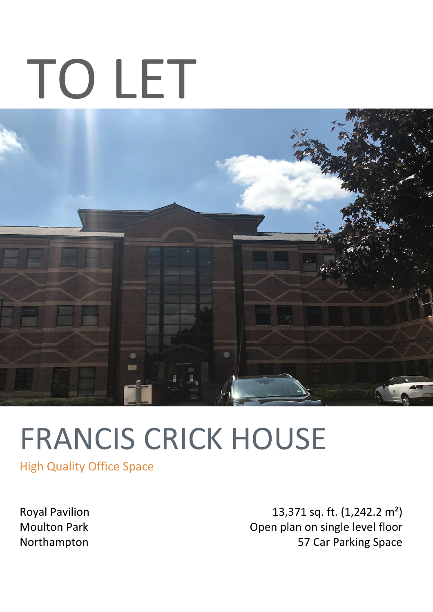# TO LET



# FRANCIS CRICK HOUSE

High Quality Office Space

Royal Pavilion Moulton Park Northampton

13,371 sq. ft. (1,242.2 m²) Open plan on single level floor 57 Car Parking Space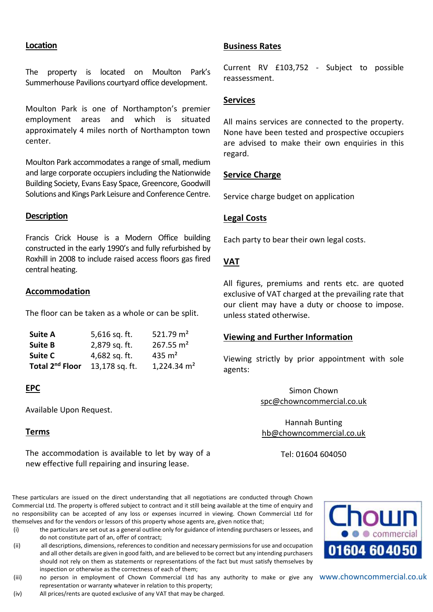# **Location**

The property is located on Moulton Park's Summerhouse Pavilions courtyard office development.

Moulton Park is one of Northampton's premier employment areas and which is situated approximately 4 miles north of Northampton town center.

Moulton Park accommodates a range of small, medium and large corporate occupiers including the Nationwide Building Society, Evans Easy Space, Greencore, Goodwill Solutions and Kings Park Leisure and Conference Centre.

# **Description**

Francis Crick House is a Modern Office building constructed in the early 1990's and fully refurbished by Roxhill in 2008 to include raised access floors gas fired central heating.

# **Accommodation**

The floor can be taken as a whole or can be split.

| <b>Suite A</b>              | 5,616 sq. ft.  | 521.79 $m2$   |
|-----------------------------|----------------|---------------|
| <b>Suite B</b>              | 2,879 sq. ft.  | 267.55 $m2$   |
| <b>Suite C</b>              | 4,682 sq. ft.  | 435 $m2$      |
| Total 2 <sup>nd</sup> Floor | 13,178 sq. ft. | 1,224.34 $m2$ |

# **EPC**

Available Upon Request.

# **Terms**

The accommodation is available to let by way of a new effective full repairing and insuring lease.

These particulars are issued on the direct understanding that all negotiations are conducted through Chown Commercial Ltd. The property is offered subject to contract and it still being available at the time of enquiry and no responsibility can be accepted of any loss or expenses incurred in viewing. Chown Commercial Ltd for themselves and for the vendors or lessors of this property whose agents are, given notice that;

- (i) the particulars are set out as a general outline only for guidance of intending purchasers or lessees, and do not constitute part of an, offer of contract;
- (ii) all descriptions, dimensions, references to condition and necessary permissions for use and occupation and all other details are given in good faith, and are believed to be correct but any intending purchasers should not rely on them as statements or representations of the fact but must satisfy themselves by inspection or otherwise as the correctness of each of them;
- (iii) ano person in employment of Chown Commercial Ltd has any authority to make or give any WWW.ChOWNCOMM<mark>ercial.co.uk</mark> representation or warranty whatever in relation to this property;
- (iv) All prices/rents are quoted exclusive of any VAT that may be charged.

#### **Business Rates**

Current RV £103,752 - Subject to possible reassessment.

# **Services**

All mains services are connected to the property. None have been tested and prospective occupiers are advised to make their own enquiries in this regard.

# **Service Charge**

Service charge budget on application

# **Legal Costs**

Each party to bear their own legal costs.

# **VAT**

All figures, premiums and rents etc. are quoted exclusive of VAT charged at the prevailing rate that our client may have a duty or choose to impose. unless stated otherwise.

# **Viewing and Further Information**

Viewing strictly by prior appointment with sole agents:

> Simon Chown [spc@chowncommercial.co.uk](mailto:spc@chowncommercial.co.uk)

Hannah Bunting [hb@chowncommercial.co.uk](mailto:hb@chowncommercial.co.uk)

Tel: 01604 604050

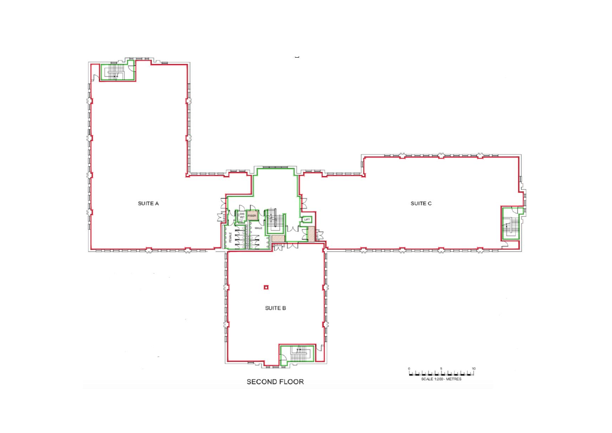